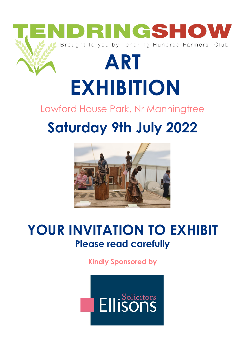

# **EXHIBITION**

#### Lawford House Park, Nr Manningtree

## **Saturday 9th July 2022**



### **YOUR INVITATION TO EXHIBIT Please read carefully**

**Kindly Sponsored by** 

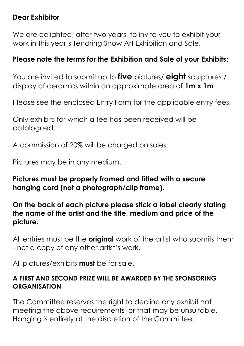#### **Dear Exhibitor**

We are delighted, after two years, to invite you to exhibit your work in this year's Tendring Show Art Exhibition and Sale.

#### **Please note the terms for the Exhibition and Sale of your Exhibits:**

You are invited to submit up to **five** pictures/ **eight** sculptures / display of ceramics within an approximate area of **1m x 1m**

Please see the enclosed Entry Form for the applicable entry fees.

Only exhibits for which a fee has been received will be catalogued.

A commission of 20% will be charged on sales.

Pictures may be in any medium.

#### **Pictures must be properly framed and fitted with a secure hanging cord (not a photograph/clip frame).**

#### **On the back of each picture please stick a label clearly stating the name of the artist and the title, medium and price of the picture.**

All entries must be the **original** work of the artist who submits them - not a copy of any other artist's work.

All pictures/exhibits **must** be for sale.

#### **A FIRST AND SECOND PRIZE WILL BE AWARDED BY THE SPONSORING ORGANISATION**

The Committee reserves the right to decline any exhibit not meeting the above requirements or that may be unsuitable. Hanging is entirely at the discretion of the Committee.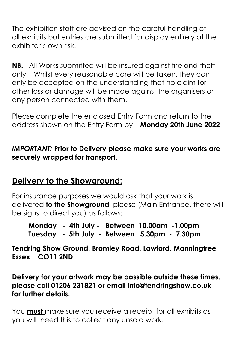The exhibition staff are advised on the careful handling of all exhibits but entries are submitted for display entirely at the exhibitor's own risk.

**NB.** All Works submitted will be insured against fire and theft only. Whilst every reasonable care will be taken, they can only be accepted on the understanding that no claim for other loss or damage will be made against the organisers or any person connected with them.

Please complete the enclosed Entry Form and return to the address shown on the Entry Form by – **Monday 20th June 2022**

#### *IMPORTANT:* **Prior to Delivery please make sure your works are securely wrapped for transport.**

#### **Delivery to the Showground:**

For insurance purposes we would ask that your work is delivered **to the Showground** please (Main Entrance, there will be signs to direct you) as follows:

**Monday - 4th July - Between 10.00am -1.00pm Tuesday - 5th July - Between 5.30pm - 7.30pm**

**Tendring Show Ground, Bromley Road, Lawford, Manningtree Essex CO11 2ND**

**Delivery for your artwork may be possible outside these times, please call 01206 231821 or email info@tendringshow.co.uk for further details.**

You **must** make sure you receive a receipt for all exhibits as you will need this to collect any unsold work.